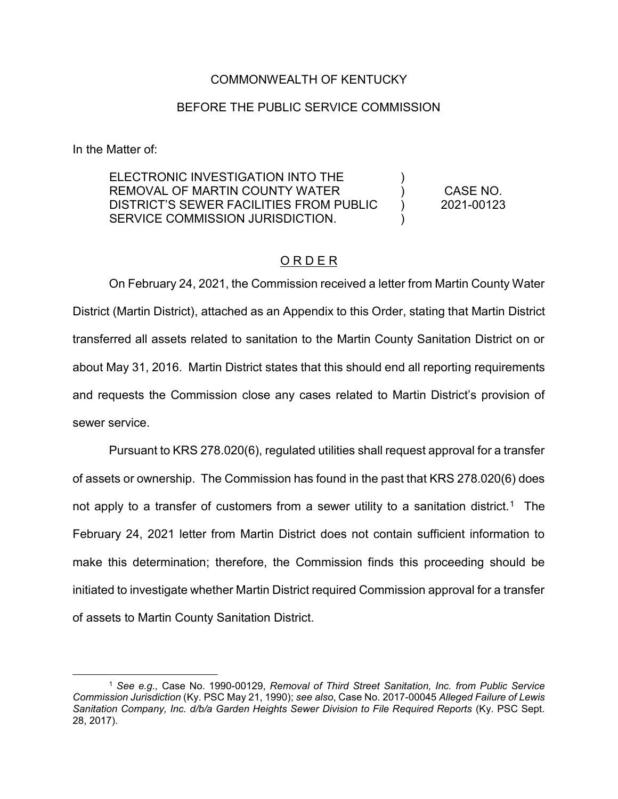### COMMONWEALTH OF KENTUCKY

#### BEFORE THE PUBLIC SERVICE COMMISSION

In the Matter of:

 $\overline{a}$ 

ELECTRONIC INVESTIGATION INTO THE REMOVAL OF MARTIN COUNTY WATER DISTRICT'S SEWER FACILITIES FROM PUBLIC SERVICE COMMISSION JURISDICTION. ) ) ) ) CASE NO. 2021-00123

### ORDER

On February 24, 2021, the Commission received a letter from Martin County Water District (Martin District), attached as an Appendix to this Order, stating that Martin District transferred all assets related to sanitation to the Martin County Sanitation District on or about May 31, 2016. Martin District states that this should end all reporting requirements and requests the Commission close any cases related to Martin District's provision of sewer service.

Pursuant to KRS 278.020(6), regulated utilities shall request approval for a transfer of assets or ownership. The Commission has found in the past that KRS 278.020(6) does not apply to a transfer of customers from a sewer utility to a sanitation district.<sup>1</sup> The February 24, 2021 letter from Martin District does not contain sufficient information to make this determination; therefore, the Commission finds this proceeding should be initiated to investigate whether Martin District required Commission approval for a transfer of assets to Martin County Sanitation District.

<sup>1</sup> *See e.g.,* Case No. 1990-00129, *Removal of Third Street Sanitation, Inc. from Public Service Commission Jurisdiction* (Ky. PSC May 21, 1990); *see also*, Case No. 2017-00045 *Alleged Failure of Lewis*  Sanitation Company, Inc. d/b/a Garden Heights Sewer Division to File Required Reports (Ky. PSC Sept. 28, 2017).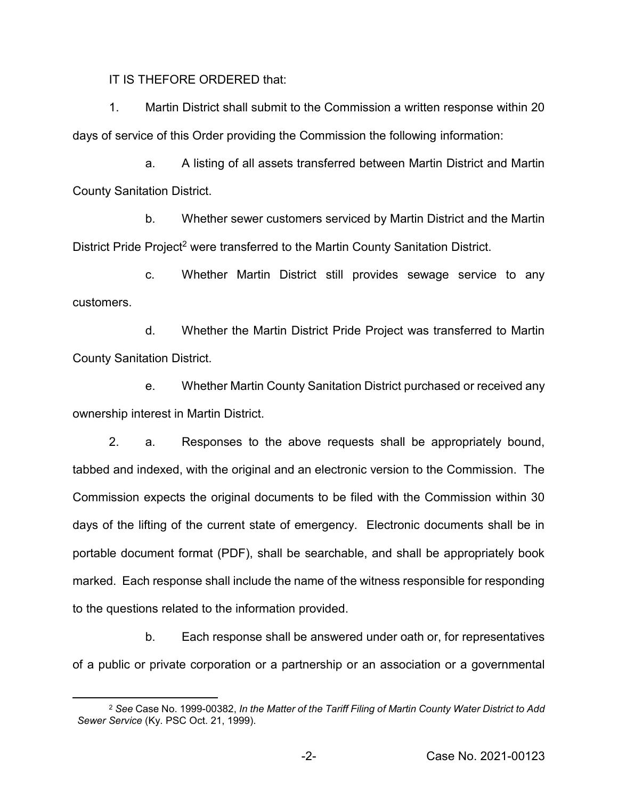IT IS THEFORE ORDERED that:

1. Martin District shall submit to the Commission a written response within 20 days of service of this Order providing the Commission the following information:

a. A listing of all assets transferred between Martin District and Martin County Sanitation District.

b. Whether sewer customers serviced by Martin District and the Martin District Pride Project<sup>2</sup> were transferred to the Martin County Sanitation District.

c. Whether Martin District still provides sewage service to any customers.

d. Whether the Martin District Pride Project was transferred to Martin County Sanitation District.

e. Whether Martin County Sanitation District purchased or received any ownership interest in Martin District.

2. a. Responses to the above requests shall be appropriately bound, tabbed and indexed, with the original and an electronic version to the Commission. The Commission expects the original documents to be filed with the Commission within 30 days of the lifting of the current state of emergency. Electronic documents shall be in portable document format (PDF), shall be searchable, and shall be appropriately book marked. Each response shall include the name of the witness responsible for responding to the questions related to the information provided.

b. Each response shall be answered under oath or, for representatives of a public or private corporation or a partnership or an association or a governmental

 $\overline{a}$ 

<sup>2</sup> *See* Case No. 1999-00382, *In the Matter of the Tariff Filing of Martin County Water District to Add Sewer Service* (Ky. PSC Oct. 21, 1999).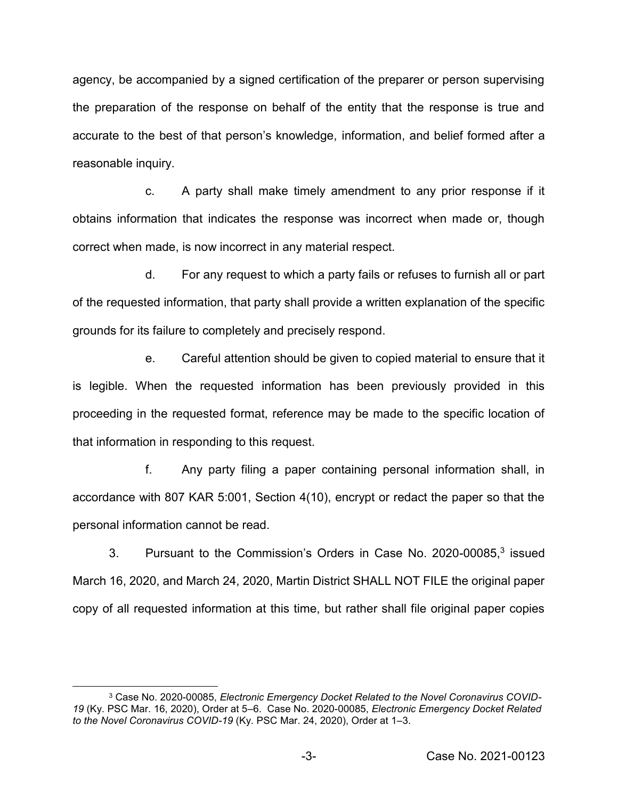agency, be accompanied by a signed certification of the preparer or person supervising the preparation of the response on behalf of the entity that the response is true and accurate to the best of that person's knowledge, information, and belief formed after a reasonable inquiry.

c. A party shall make timely amendment to any prior response if it obtains information that indicates the response was incorrect when made or, though correct when made, is now incorrect in any material respect.

d. For any request to which a party fails or refuses to furnish all or part of the requested information, that party shall provide a written explanation of the specific grounds for its failure to completely and precisely respond.

e. Careful attention should be given to copied material to ensure that it is legible. When the requested information has been previously provided in this proceeding in the requested format, reference may be made to the specific location of that information in responding to this request.

f. Any party filing a paper containing personal information shall, in accordance with 807 KAR 5:001, Section 4(10), encrypt or redact the paper so that the personal information cannot be read.

3. Pursuant to the Commission's Orders in Case No. 2020-00085,3 issued March 16, 2020, and March 24, 2020, Martin District SHALL NOT FILE the original paper copy of all requested information at this time, but rather shall file original paper copies

 $\overline{\phantom{a}}$ 

<sup>3</sup> Case No. 2020-00085, *Electronic Emergency Docket Related to the Novel Coronavirus COVID-19* (Ky. PSC Mar. 16, 2020), Order at 5–6. Case No. 2020-00085, *Electronic Emergency Docket Related to the Novel Coronavirus COVID-19* (Ky. PSC Mar. 24, 2020), Order at 1–3.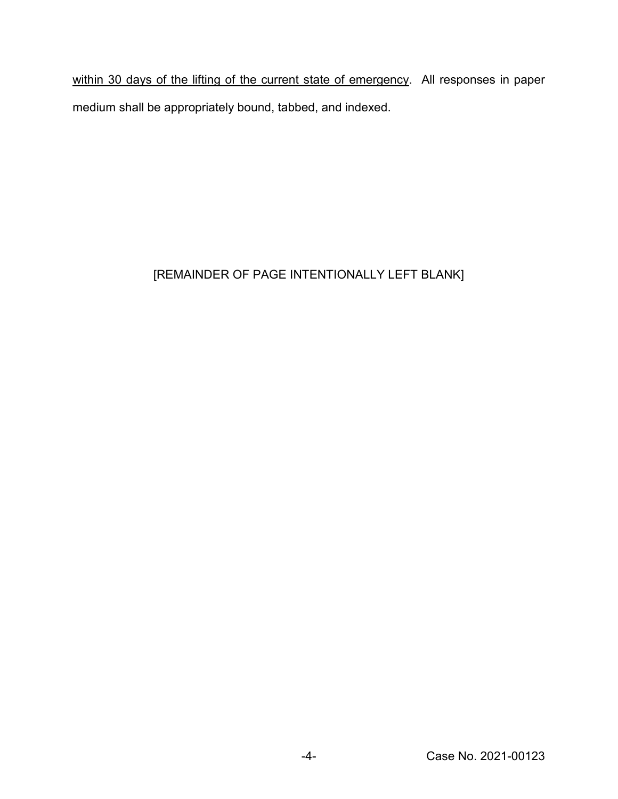within 30 days of the lifting of the current state of emergency. All responses in paper medium shall be appropriately bound, tabbed, and indexed.

# [REMAINDER OF PAGE INTENTIONALLY LEFT BLANK]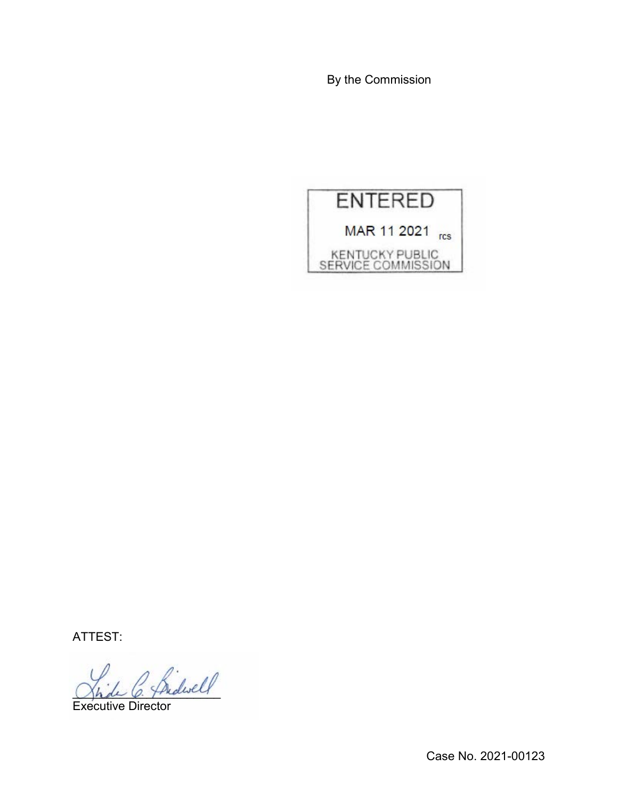By the Commission



ATTEST:

 $\frac{1}{\beta}$  hidwell

Executive Director

Case No. 2021-00123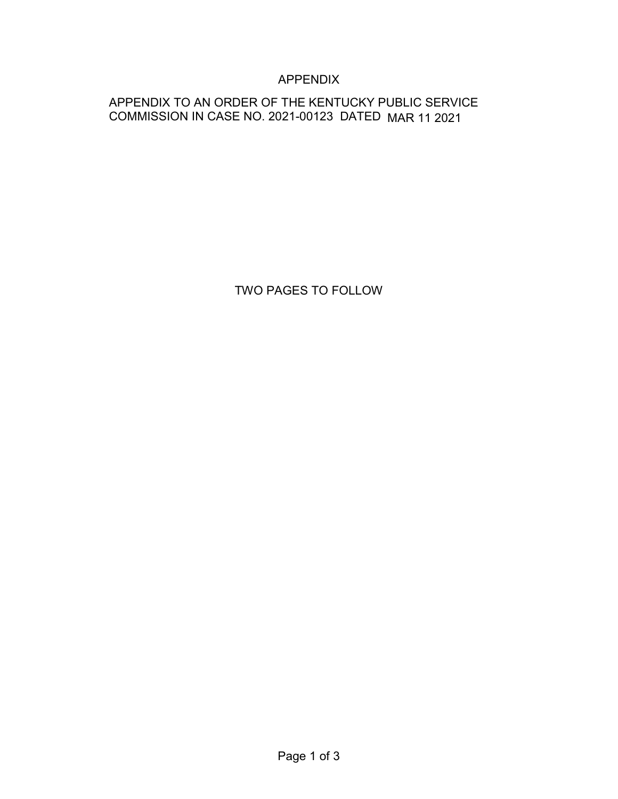## APPENDIX

## APPENDIX TO AN ORDER OF THE KENTUCKY PUBLIC SERVICE COMMISSION IN CASE NO. 2021-00123 DATED MAR 11 2021

TWO PAGES TO FOLLOW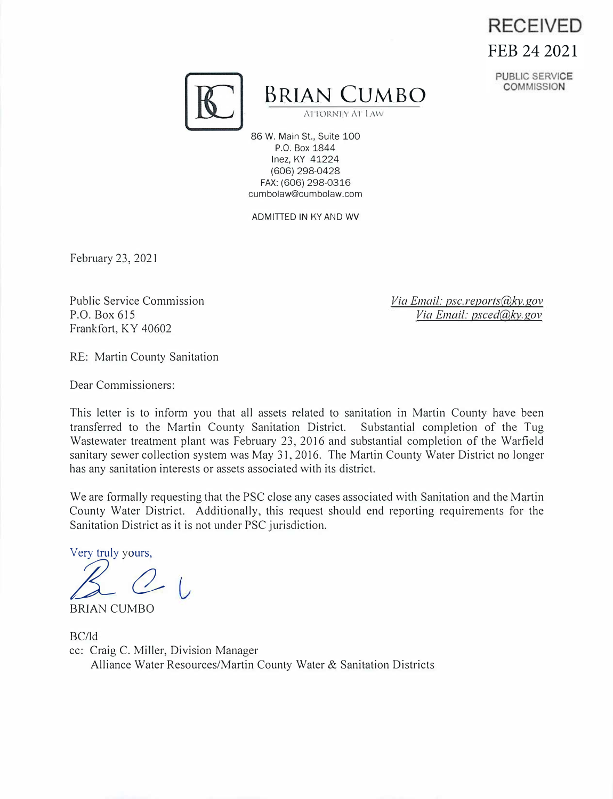# **RECEIVED** FEB 24 2021





**BRIAN CUMBO** 

ALTORNLY AT LAW

86 W. Main St., Suite 100 P.O. Box 1844 Inez, KY 41224 (606) 298-0428 FAX: (606) 298-0316 cumbolaw@cumbolaw.com

ADMITTED IN KY AND WV

February 23, 2021

Public Service Commission P.O. Box 615 Frankfort, KY 40602

*Via Email: psc.reports@ky.gov Via Email: psced@ky.gov* 

RE: Martin County Sanitation

Dear Commissioners:

This letter is to inform you that all assets related to sanitation in Martin County have been transferred to the Martin County Sanitation District. Substantial completion of the Tug Wastewater treatment plant was February 23, 2016 and substantial completion of the Warfield sanitary sewer collection system was May 31, 2016. The Martin County Water District no longer has any sanitation interests or assets associated with its district.

We are formally requesting that the PSC close any cases associated with Sanitation and the Martin County Water District. Additionally, this request should end reporting requirements for the Sanitation District as it is not under PSC jurisdiction.

Very truly yours,

 $2<sub>1</sub>$ 

BRIAN CUMBO

BC/Id cc: Craig C. Miller, Division Manager Alliance Water Resources/Martin County Water & Sanitation Districts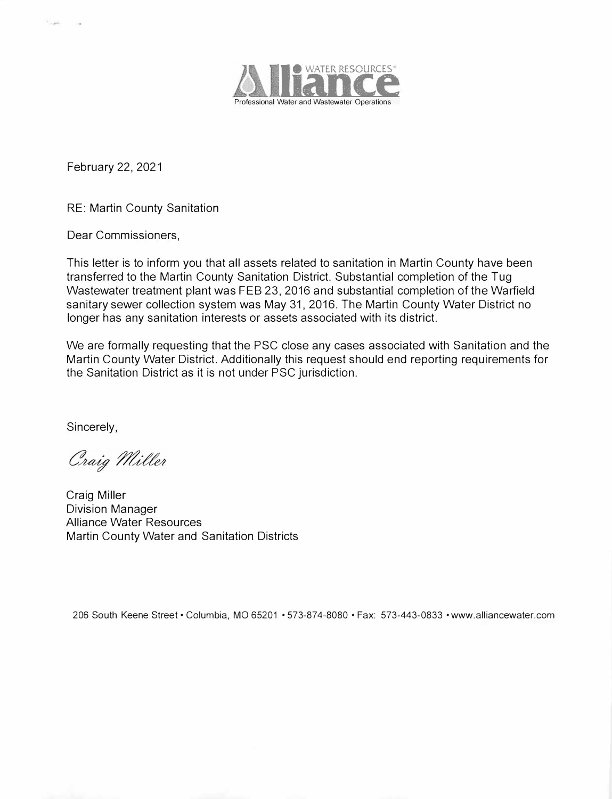

February 22, 2021

RE: Martin County Sanitation

Dear Commissioners,

This letter is to inform you that all assets related to sanitation in Martin County have been transferred to the Martin County Sanitation District. Substantial completion of the Tug Wastewater treatment plant was FEB 23, 2016 and substantial completion of the Warfield sanitary sewer collection system was May 31, 2016. The Martin County Water District no longer has any sanitation interests or assets associated with its district.

We are formally requesting that the PSC close any cases associated with Sanitation and the Martin County Water District. Additionally this request should end reporting requirements for the Sanitation District as it is not under PSC jurisdiction.

Sincerely,

Craig Miller

Craig Miller Division Manager Alliance Water Resources Martin County Water and Sanitation Districts

206 South Keene Street· Columbia, MO 65201 • 573-874-8080 • Fax: 573-443-0833 • www.alliancewater.com